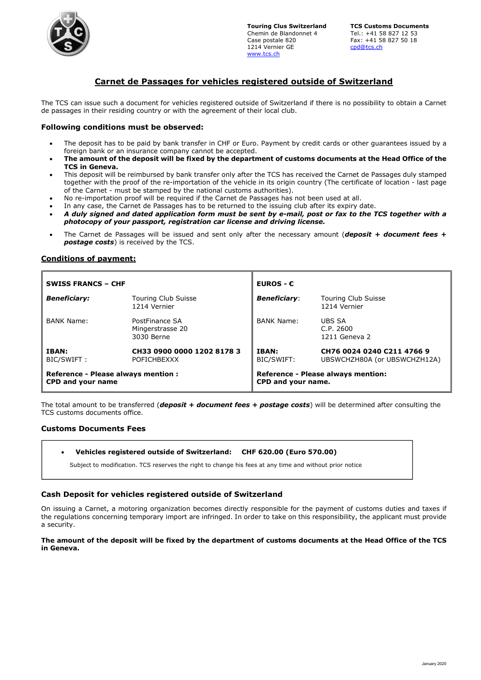

Touring Clus Switzerland TCS Customs Documents Chemin de Blandonnet 4 Tel.: +41 58 827 12 53 1214 Vernier GE www.tcs.ch

Fax: +41 58 827 50 18<br>cpd@tcs.ch

# Carnet de Passages for vehicles registered outside of Switzerland

The TCS can issue such a document for vehicles registered outside of Switzerland if there is no possibility to obtain a Carnet de passages in their residing country or with the agreement of their local club.

### Following conditions must be observed:

- The deposit has to be paid by bank transfer in CHF or Euro. Payment by credit cards or other guarantees issued by a foreign bank or an insurance company cannot be accepted.
- The amount of the deposit will be fixed by the department of customs documents at the Head Office of the TCS in Geneva.
- This deposit will be reimbursed by bank transfer only after the TCS has received the Carnet de Passages duly stamped together with the proof of the re-importation of the vehicle in its origin country (The certificate of location - last page of the Carnet - must be stamped by the national customs authorities).
- No re-importation proof will be required if the Carnet de Passages has not been used at all.
- In any case, the Carnet de Passages has to be returned to the issuing club after its expiry date.
- A duly signed and dated application form must be sent by e-mail, post or fax to the TCS together with a photocopy of your passport, registration car license and driving license.
- The Carnet de Passages will be issued and sent only after the necessary amount (deposit + document fees + **postage costs**) is received by the TCS.

## Conditions of payment:

| <b>SWISS FRANCS - CHF</b>                                |                                                  | <b>EUROS - <math>\epsilon</math></b>                            |                                                            |
|----------------------------------------------------------|--------------------------------------------------|-----------------------------------------------------------------|------------------------------------------------------------|
| <b>Beneficiary:</b>                                      | <b>Touring Club Suisse</b><br>1214 Vernier       | <b>Beneficiary:</b>                                             | <b>Touring Club Suisse</b><br>1214 Vernier                 |
| <b>BANK Name:</b>                                        | PostFinance SA<br>Mingerstrasse 20<br>3030 Berne | <b>BANK Name:</b>                                               | UBS SA<br>C.P. 2600<br>1211 Geneva 2                       |
| <b>IBAN:</b><br>BIC/SWIFT:                               | CH33 0900 0000 1202 8178 3<br><b>POFICHBEXXX</b> | <b>IBAN:</b><br>BIC/SWIFT:                                      | CH76 0024 0240 C211 4766 9<br>UBSWCHZH80A (or UBSWCHZH12A) |
| Reference - Please always mention :<br>CPD and your name |                                                  | <b>Reference - Please always mention:</b><br>CPD and your name. |                                                            |

The total amount to be transferred (*deposit + document fees + postage costs*) will be determined after consulting the TCS customs documents office.

## Customs Documents Fees

#### Vehicles registered outside of Switzerland: CHF 620.00 (Euro 570.00)

Subject to modification. TCS reserves the right to change his fees at any time and without prior notice

#### Cash Deposit for vehicles registered outside of Switzerland

On issuing a Carnet, a motoring organization becomes directly responsible for the payment of customs duties and taxes if the regulations concerning temporary import are infringed. In order to take on this responsibility, the applicant must provide a security.

#### The amount of the deposit will be fixed by the department of customs documents at the Head Office of the TCS in Geneva.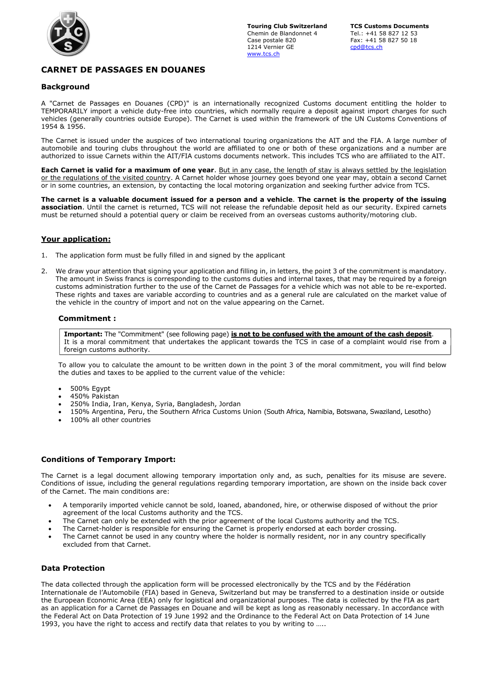

# CARNET DE PASSAGES EN DOUANES

## Background

A "Carnet de Passages en Douanes (CPD)" is an internationally recognized Customs document entitling the holder to TEMPORARILY import a vehicle duty-free into countries, which normally require a deposit against import charges for such vehicles (generally countries outside Europe). The Carnet is used within the framework of the UN Customs Conventions of 1954 & 1956.

The Carnet is issued under the auspices of two international touring organizations the AIT and the FIA. A large number of automobile and touring clubs throughout the world are affiliated to one or both of these organizations and a number are authorized to issue Carnets within the AIT/FIA customs documents network. This includes TCS who are affiliated to the AIT.

Each Carnet is valid for a maximum of one year. But in any case, the length of stay is always settled by the legislation or the regulations of the visited country. A Carnet holder whose journey goes beyond one year may, obtain a second Carnet or in some countries, an extension, by contacting the local motoring organization and seeking further advice from TCS.

The carnet is a valuable document issued for a person and a vehicle. The carnet is the property of the issuing association. Until the carnet is returned, TCS will not release the refundable deposit held as our security. Expired carnets must be returned should a potential query or claim be received from an overseas customs authority/motoring club.

## Your application:

- 1. The application form must be fully filled in and signed by the applicant
- 2. We draw your attention that signing your application and filling in, in letters, the point 3 of the commitment is mandatory. The amount in Swiss francs is corresponding to the customs duties and internal taxes, that may be required by a foreign customs administration further to the use of the Carnet de Passages for a vehicle which was not able to be re-exported. These rights and taxes are variable according to countries and as a general rule are calculated on the market value of the vehicle in the country of import and not on the value appearing on the Carnet.

#### Commitment :

Important: The "Commitment" (see following page) is not to be confused with the amount of the cash deposit. It is a moral commitment that undertakes the applicant towards the TCS in case of a complaint would rise from a foreign customs authority.

To allow you to calculate the amount to be written down in the point 3 of the moral commitment, you will find below the duties and taxes to be applied to the current value of the vehicle:

- 500% Egypt
- 450% Pakistan
- 250% India, Iran, Kenya, Syria, Bangladesh, Jordan
- 150% Argentina, Peru, the Southern Africa Customs Union (South Africa, Namibia, Botswana, Swaziland, Lesotho)
- 100% all other countries

#### Conditions of Temporary Import:

The Carnet is a legal document allowing temporary importation only and, as such, penalties for its misuse are severe. Conditions of issue, including the general regulations regarding temporary importation, are shown on the inside back cover of the Carnet. The main conditions are:

- A temporarily imported vehicle cannot be sold, loaned, abandoned, hire, or otherwise disposed of without the prior agreement of the local Customs authority and the TCS.
- The Carnet can only be extended with the prior agreement of the local Customs authority and the TCS.
- The Carnet-holder is responsible for ensuring the Carnet is properly endorsed at each border crossing.
- The Carnet cannot be used in any country where the holder is normally resident, nor in any country specifically excluded from that Carnet.

#### Data Protection

The data collected through the application form will be processed electronically by the TCS and by the Fédération Internationale de l'Automobile (FIA) based in Geneva, Switzerland but may be transferred to a destination inside or outside the European Economic Area (EEA) only for logistical and organizational purposes. The data is collected by the FIA as part as an application for a Carnet de Passages en Douane and will be kept as long as reasonably necessary. In accordance with the Federal Act on Data Protection of 19 June 1992 and the Ordinance to the Federal Act on Data Protection of 14 June 1993, you have the right to access and rectify data that relates to you by writing to …..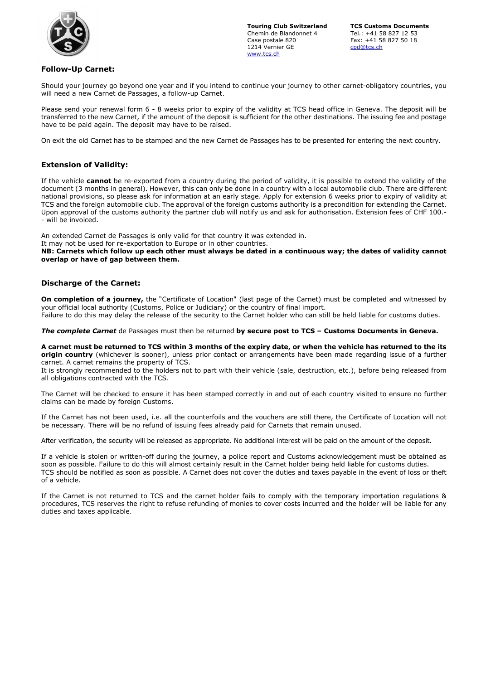

## Touring Club Switzerland TCS Customs Documents Chemin de Blandonnet 4 Tel.: +41 58 827 12 53 1214 Vernier GE www.tcs.ch

Fax: +41 58 827 50 18<br>cpd@tcs.ch

# Follow-Up Carnet:

Should your journey go beyond one year and if you intend to continue your journey to other carnet-obligatory countries, you will need a new Carnet de Passages, a follow-up Carnet.

Please send your renewal form 6 - 8 weeks prior to expiry of the validity at TCS head office in Geneva. The deposit will be transferred to the new Carnet, if the amount of the deposit is sufficient for the other destinations. The issuing fee and postage have to be paid again. The deposit may have to be raised.

On exit the old Carnet has to be stamped and the new Carnet de Passages has to be presented for entering the next country.

# Extension of Validity:

If the vehicle cannot be re-exported from a country during the period of validity, it is possible to extend the validity of the document (3 months in general). However, this can only be done in a country with a local automobile club. There are different national provisions, so please ask for information at an early stage. Apply for extension 6 weeks prior to expiry of validity at TCS and the foreign automobile club. The approval of the foreign customs authority is a precondition for extending the Carnet. Upon approval of the customs authority the partner club will notify us and ask for authorisation. Extension fees of CHF 100.- - will be invoiced.

An extended Carnet de Passages is only valid for that country it was extended in.

It may not be used for re-exportation to Europe or in other countries.

NB: Carnets which follow up each other must always be dated in a continuous way; the dates of validity cannot overlap or have of gap between them.

## Discharge of the Carnet:

On completion of a journey, the "Certificate of Location" (last page of the Carnet) must be completed and witnessed by your official local authority (Customs, Police or Judiciary) or the country of final import. Failure to do this may delay the release of the security to the Carnet holder who can still be held liable for customs duties.

The complete Carnet de Passages must then be returned by secure post to TCS - Customs Documents in Geneva.

A carnet must be returned to TCS within 3 months of the expiry date, or when the vehicle has returned to the its origin country (whichever is sooner), unless prior contact or arrangements have been made regarding issue of a further carnet. A carnet remains the property of TCS.

It is strongly recommended to the holders not to part with their vehicle (sale, destruction, etc.), before being released from all obligations contracted with the TCS.

The Carnet will be checked to ensure it has been stamped correctly in and out of each country visited to ensure no further claims can be made by foreign Customs.

If the Carnet has not been used, i.e. all the counterfoils and the vouchers are still there, the Certificate of Location will not be necessary. There will be no refund of issuing fees already paid for Carnets that remain unused.

After verification, the security will be released as appropriate. No additional interest will be paid on the amount of the deposit.

If a vehicle is stolen or written-off during the journey, a police report and Customs acknowledgement must be obtained as soon as possible. Failure to do this will almost certainly result in the Carnet holder being held liable for customs duties. TCS should be notified as soon as possible. A Carnet does not cover the duties and taxes payable in the event of loss or theft of a vehicle.

If the Carnet is not returned to TCS and the carnet holder fails to comply with the temporary importation regulations & procedures, TCS reserves the right to refuse refunding of monies to cover costs incurred and the holder will be liable for any duties and taxes applicable.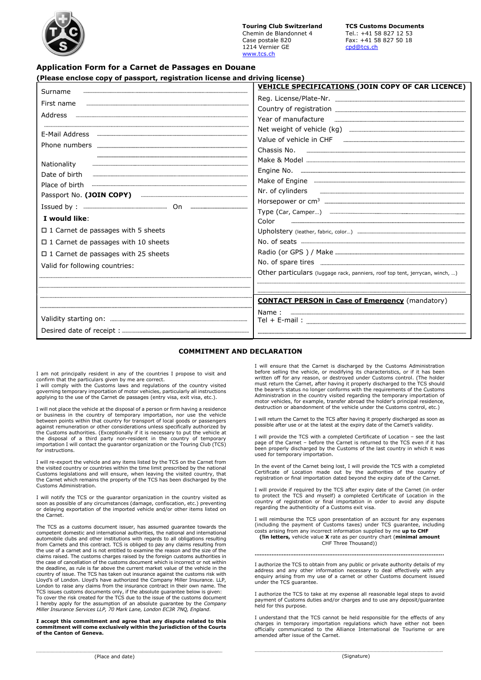Touring Club Switzerland TCS Customs Documents Chemin de Blandonnet 4 Tel.: +41 58 827 12 53 1214 Vernier GE www.tcs.ch

## Application Form for a Carnet de Passages en Douane

| Surname                                                                                                                                                                                                                                                        | VEHICLE SPECIFICATIONS (JOIN COPY OF CAR LICENCE)                                                                                                                                                                                                                                                                                                                                                      |
|----------------------------------------------------------------------------------------------------------------------------------------------------------------------------------------------------------------------------------------------------------------|--------------------------------------------------------------------------------------------------------------------------------------------------------------------------------------------------------------------------------------------------------------------------------------------------------------------------------------------------------------------------------------------------------|
| First name                                                                                                                                                                                                                                                     | Year of manufacture <u>communicum communicum communicum</u> contractors                                                                                                                                                                                                                                                                                                                                |
| Phone numbers<br>Nationality<br>Date of birth<br>Place of birth<br>I would like:<br>$\Box$ 1 Carnet de passages with 5 sheets<br>$\Box$ 1 Carnet de passages with 10 sheets<br>$\square$ 1 Carnet de passages with 25 sheets<br>Valid for following countries: | Make of Engine <b>with the communities</b> with the state of Engine with the summand communities and the state of the summand of the state of the state of the state of the state of the state of the state of the state of the sta<br>Nr. of cylinders <b>with the contract of the contract of cylinders</b><br>Color<br>Other particulars (luggage rack, panniers, roof top tent, jerrycan, winch, ) |
|                                                                                                                                                                                                                                                                | <b>CONTACT PERSON in Case of Emergency (mandatory)</b><br>Name:                                                                                                                                                                                                                                                                                                                                        |

#### COMMITMENT AND DECLARATION

I am not principally resident in any of the countries I propose to visit and

confirm that the particulars given by me are correct. I will comply with the Customs laws and regulations of the country visited governing temporary importation of motor vehicles, particularly all instructions applying to the use of the Carnet de passages (entry visa, exit visa, etc.).

I will not place the vehicle at the disposal of a person or firm having a residence or business in the country of temporary importation, nor use the vehicle between points within that country for transport of local goods or passengers against remuneration or other considerations unless specifically authorized by the Customs authorities. (Exceptionally if it is necessary to put the vehicle at the disposal of a third party non-resident in the country of temporary importation I will contact the guarantor organization or the Touring Club (TCS) for instructions.

I will re-export the vehicle and any items listed by the TCS on the Carnet from the visited country or countries within the time limit prescribed by the national Customs legislations and will ensure, when leaving the visited country, that the Carnet which remains the property of the TCS has been discharged by the Customs Administration.

I will notify the TCS or the guarantor organization in the country visited as soon as possible of any circumstances (damage, confiscation, etc.) preventing or delaying exportation of the imported vehicle and/or other items listed on the Carnet.

The TCS as a customs document issuer, has assumed guarantee towards the competent domestic and international authorities, the national and international automobile clubs and other institutions with regards to all obligations resulting from Carnets and this contract. TCS is obliged to pay any claims resulting from the use of a carnet and is not entitled to examine the reason and the size of the claims raised. The customs charges raised by the foreign customs authorities in the case of cancellation of the customs document which is incorrect or not within the deadline, as rule is far above the current market value of the vehicle in the country of issue. The TCS has taken out insurance against the customs risk with Lloyd's of London. Lloyd's have authorized the Company Miller Insurance. LLP, London to raise any claims from the insurance contract in their own name. The TCS issues customs documents only, if the absolute guarantee below is given: To cover the risk created for the TCS due to the issue of the customs document I hereby apply for the assumption of an absolute guarantee by the Company Miller Insurance Services LLP, 70 Mark Lane, London EC3R 7NQ, England.

I accept this commitment and agree that any dispute related to this commitment will come exclusively within the jurisdiction of the Courts of the Canton of Geneva.

……………………………………………………………………………………………………………………………

I will ensure that the Carnet is discharged by the Customs Administration before selling the vehicle, or modifying its characteristics, or if it has been written off for any reason, or destroyed under Customs control. (The holder<br>must return the Carnet, after having it properly discharged to the TCS should<br>the bearer's status no longer conforms with the requirements of the Administration in the country visited regarding the temporary importation of motor vehicles, for example, transfer abroad the holder's principal residence, destruction or abandonment of the vehicle under the Customs control, etc.)

I will return the Carnet to the TCS after having it properly discharged as soon as possible after use or at the latest at the expiry date of the Carnet's validity

I will provide the TCS with a completed Certificate of Location – see the last page of the Carnet – before the Carnet is returned to the TCS even if it has properly discharged by the Customs of the last country in which it was used for temporary importation.

In the event of the Carnet being lost, I will provide the TCS with a completed Certificate of Location made out by the authorities of the country of registration or final importation dated beyond the expiry date of the Carnet.

I will provide if required by the TCS after expiry date of the Carnet (in order<br>to protect the TCS and myself) a completed Certificate of Location in the<br>country of registration or final importation in order to avoid any d regarding the authenticity of a Customs exit visa.

I will reimburse the TCS upon presentation of an account for any expenses (including the payment of Customs taxes) under TCS guarantee, including<br>costs arising from any incorrect information supplied by me **up to CHF** (!in letters, vehicle value X rate as per country chart (minimal amount CHF Three Thousand))

I authorize the TCS to obtain from any public or private authority details of my address and any other information necessary to deal effectively with any enquiry arising from my use of a carnet or other Customs document issued under the TCS guarantee.

………………………………………………….....................................................

I authorize the TCS to take at my expense all reasonable legal steps to avoid payment of Customs duties and/or charges and to use any deposit/guarantee held for this purpose.

I understand that the TCS cannot be held responsible for the effects of any charges in temporary importation regulations which have either not been officially communicated to the Alliance International de Tourisme or are amended after issue of the Carnet.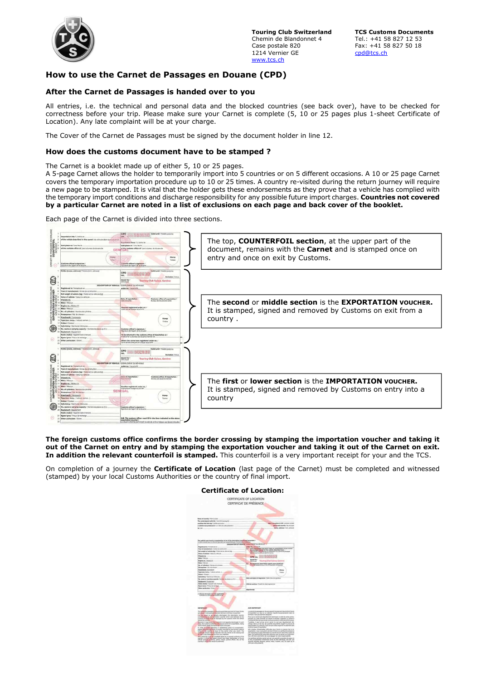

**Touring Club Switzerland TCS Customs Documents**<br>Chemin de Blandonnet 4 Tel.: +41 58 827 12 53 Chemin de Blandonnet 4 Case postale 820 Fax: +41 58 827 50 18 1214 Vernier GE cpd@tcs.ch www.tcs.ch

# How to use the Carnet de Passages en Douane (CPD)

## After the Carnet de Passages is handed over to you

All entries, i.e. the technical and personal data and the blocked countries (see back over), have to be checked for correctness before your trip. Please make sure your Carnet is complete (5, 10 or 25 pages plus 1-sheet Certificate of Location). Any late complaint will be at your charge.

The Cover of the Carnet de Passages must be signed by the document holder in line 12.

#### How does the customs document have to be stamped ?

The Carnet is a booklet made up of either 5, 10 or 25 pages.

A 5-page Carnet allows the holder to temporarily import into 5 countries or on 5 different occasions. A 10 or 25 page Carnet covers the temporary importation procedure up to 10 or 25 times. A country re-visited during the return journey will require a new page to be stamped. It is vital that the holder gets these endorsements as they prove that a vehicle has complied with the temporary import conditions and discharge responsibility for any possible future import charges. Countries not covered by a particular Carnet are noted in a list of exclusions on each page and back cover of the booklet.

Each page of the Carnet is divided into three sections.



#### The foreign customs office confirms the border crossing by stamping the importation voucher and taking it out of the Carnet on entry and by stamping the exportation voucher and taking it out of the Carnet on exit. In addition the relevant counterfoil is stamped. This counterfoil is a very important receipt for your and the TCS.

On completion of a journey the **Certificate of Location** (last page of the Carnet) must be completed and witnessed (stamped) by your local Customs Authorities or the country of final import.